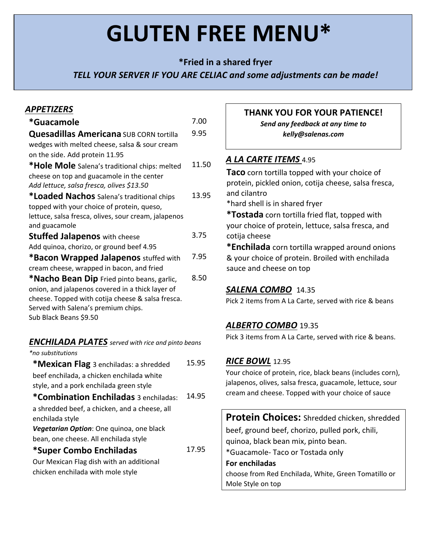# **GLUTEN FREE MENU\***

**\*Fried in a shared fryer**

*TELL YOUR SERVER IF YOU ARE CELIAC and some adjustments can be made!*

## *APPETIZERS*

| *Guacamole                                           | 7.00  |
|------------------------------------------------------|-------|
| <b>Quesadillas Americana</b> SUB CORN tortilla       | 9.95  |
| wedges with melted cheese, salsa & sour cream        |       |
| on the side. Add protein 11.95                       |       |
| *Hole Mole Salena's traditional chips: melted        | 11.50 |
| cheese on top and guacamole in the center            |       |
| Add lettuce, salsa fresca, olives \$13.50            |       |
| *Loaded Nachos Salena's traditional chips            | 13.95 |
| topped with your choice of protein, queso,           |       |
| lettuce, salsa fresca, olives, sour cream, jalapenos |       |
| and guacamole                                        |       |
| <b>Stuffed Jalapenos</b> with cheese                 | 3.75  |
| Add quinoa, chorizo, or ground beef 4.95             |       |
| *Bacon Wrapped Jalapenos stuffed with                | 7.95  |
| cream cheese, wrapped in bacon, and fried            |       |
| *Nacho Bean Dip Fried pinto beans, garlic,           | 8.50  |
| onion, and jalapenos covered in a thick layer of     |       |
| cheese. Topped with cotija cheese & salsa fresca.    |       |
| Served with Salena's premium chips.                  |       |
| Sub Black Beans \$9.50                               |       |

# *ENCHILADA PLATES served with rice and pinto beans*

| *no substitutions                             |       |
|-----------------------------------------------|-------|
| <b>*Mexican Flag</b> 3 enchiladas: a shredded | 15.95 |
| beef enchilada, a chicken enchilada white     |       |
| style, and a pork enchilada green style       |       |
| *Combination Enchiladas 3 enchiladas:         | 14.95 |
| a shredded beef, a chicken, and a cheese, all |       |
| enchilada style                               |       |
| Vegetarian Option: One quinoa, one black      |       |
| bean, one cheese. All enchilada style         |       |
| *Super Combo Enchiladas                       | 17.95 |
| Our Mexican Flag dish with an additional      |       |
| chicken enchilada with mole style             |       |
|                                               |       |

### **THANK YOU FOR YOUR PATIENCE!**

*Send any feedback at any time to kelly@salenas.com*

# *A LA CARTE ITEMS* 4.95

**Taco** corn tortilla topped with your choice of protein, pickled onion, cotija cheese, salsa fresca, and cilantro

\*hard shell is in shared fryer

**\*Tostada** corn tortilla fried flat, topped with your choice of protein, lettuce, salsa fresca, and cotija cheese

**\*Enchilada** corn tortilla wrapped around onions & your choice of protein. Broiled with enchilada sauce and cheese on top

### *SALENA COMBO* 14.35

Pick 2 items from A La Carte, served with rice & beans

### *ALBERTO COMBO* 19.35

Pick 3 items from A La Carte, served with rice & beans.

### *RICE BOWL* 12.95

Your choice of protein, rice, black beans (includes corn), jalapenos, olives, salsa fresca, guacamole, lettuce, sour cream and cheese. Topped with your choice of sauce

**Protein Choices:** Shredded chicken, shredded beef, ground beef, chorizo, pulled pork, chili, quinoa, black bean mix, pinto bean. \*Guacamole‐ Taco or Tostada only **For enchiladas** choose from Red Enchilada, White, Green Tomatillo or Mole Style on top